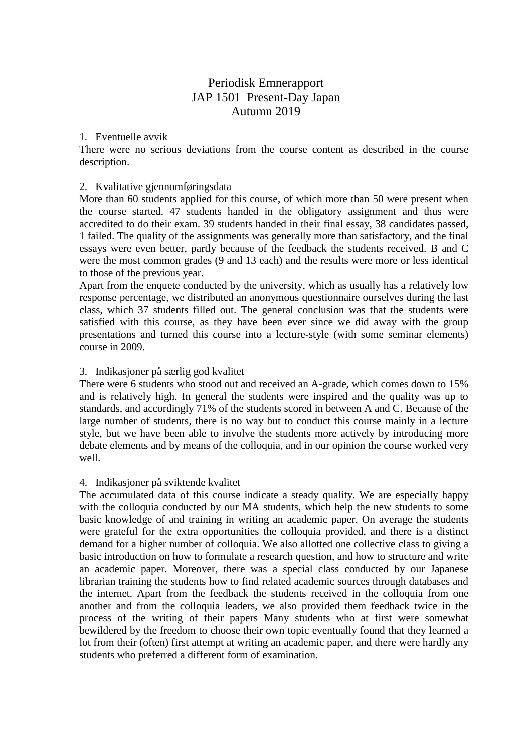# Periodisk Emnerapport JAP 1501 Present-Day Japan Autumn 2019

# 1. Eventuelle avvik

There were no serious deviations from the course content as described in the course description.

### 2. Kvalitative gjennomføringsdata

More than 60 students applied for this course, of which more than 50 were present when the course started. 47 students handed in the obligatory assignment and thus were accredited to do their exam. 39 students handed in their final essay, 38 candidates passed, 1 failed. The quality of the assignments was generally more than satisfactory, and the final essays were even better, partly because of the feedback the students received. B and C were the most common grades (9 and 13 each) and the results were more or less identical to those of the previous year.

Apart from the enquete conducted by the university, which as usually has a relatively low response percentage, we distributed an anonymous questionnaire ourselves during the last class, which 37 students filled out. The general conclusion was that the students were satisfied with this course, as they have been ever since we did away with the group presentations and turned this course into a lecture-style (with some seminar elements) course in 2009.

# 3. Indikasjoner på særlig god kvalitet

There were 6 students who stood out and received an A-grade, which comes down to 15% and is relatively high. In general the students were inspired and the quality was up to standards, and accordingly 71% of the students scored in between A and C. Because of the large number of students, there is no way but to conduct this course mainly in a lecture style, but we have been able to involve the students more actively by introducing more debate elements and by means of the colloquia, and in our opinion the course worked very well.

#### 4. Indikasjoner på sviktende kvalitet

The accumulated data of this course indicate a steady quality. We are especially happy with the colloquia conducted by our MA students, which help the new students to some basic knowledge of and training in writing an academic paper. On average the students were grateful for the extra opportunities the colloquia provided, and there is a distinct demand for a higher number of colloquia. We also allotted one collective class to giving a basic introduction on how to formulate a research question, and how to structure and write an academic paper. Moreover, there was a special class conducted by our Japanese librarian training the students how to find related academic sources through databases and the internet. Apart from the feedback the students received in the colloquia from one another and from the colloquia leaders, we also provided them feedback twice in the process of the writing of their papers Many students who at first were somewhat bewildered by the freedom to choose their own topic eventually found that they learned a lot from their (often) first attempt at writing an academic paper, and there were hardly any students who preferred a different form of examination.